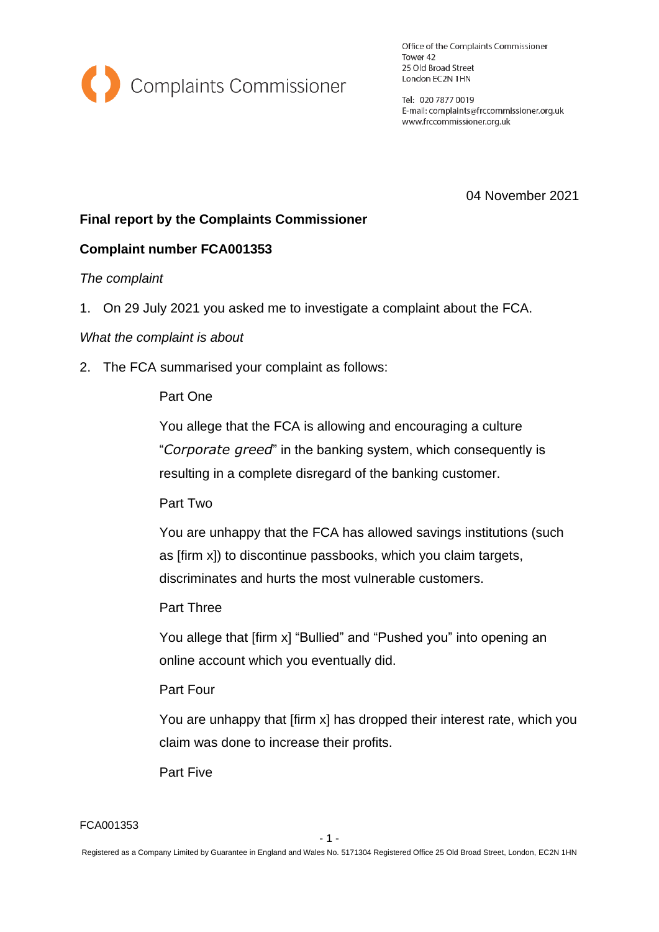

Office of the Complaints Commissioner Tower 42 25 Old Broad Street London EC2N 1HN

Tel: 020 7877 0019 E-mail: complaints@frccommissioner.org.uk www.frccommissioner.org.uk

04 November 2021

# **Final report by the Complaints Commissioner**

## **Complaint number FCA001353**

## *The complaint*

1. On 29 July 2021 you asked me to investigate a complaint about the FCA.

## *What the complaint is about*

2. The FCA summarised your complaint as follows:

## Part One

You allege that the FCA is allowing and encouraging a culture "*Corporate greed*" in the banking system, which consequently is resulting in a complete disregard of the banking customer.

## Part Two

You are unhappy that the FCA has allowed savings institutions (such as [firm x]) to discontinue passbooks, which you claim targets, discriminates and hurts the most vulnerable customers.

## Part Three

You allege that [firm x] "Bullied" and "Pushed you" into opening an online account which you eventually did.

### Part Four

You are unhappy that [firm x] has dropped their interest rate, which you claim was done to increase their profits.

Part Five

#### FCA001353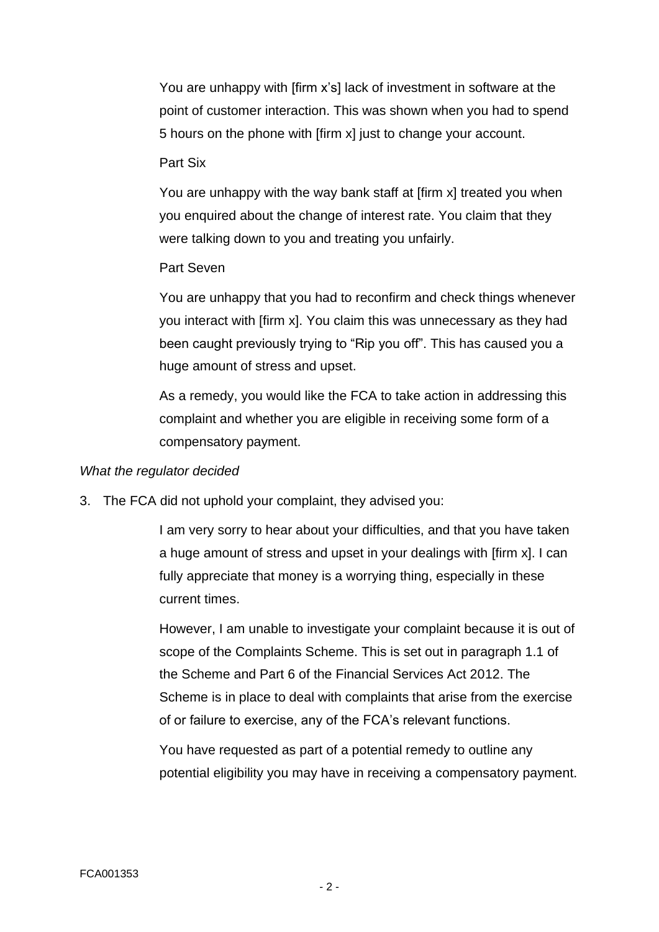You are unhappy with [firm x's] lack of investment in software at the point of customer interaction. This was shown when you had to spend 5 hours on the phone with [firm x] just to change your account.

### Part Six

You are unhappy with the way bank staff at [firm x] treated you when you enquired about the change of interest rate. You claim that they were talking down to you and treating you unfairly.

### Part Seven

You are unhappy that you had to reconfirm and check things whenever you interact with [firm x]. You claim this was unnecessary as they had been caught previously trying to "Rip you off". This has caused you a huge amount of stress and upset.

As a remedy, you would like the FCA to take action in addressing this complaint and whether you are eligible in receiving some form of a compensatory payment.

### *What the regulator decided*

3. The FCA did not uphold your complaint, they advised you:

I am very sorry to hear about your difficulties, and that you have taken a huge amount of stress and upset in your dealings with [firm x]. I can fully appreciate that money is a worrying thing, especially in these current times.

However, I am unable to investigate your complaint because it is out of scope of the Complaints Scheme. This is set out in paragraph 1.1 of the Scheme and Part 6 of the Financial Services Act 2012. The Scheme is in place to deal with complaints that arise from the exercise of or failure to exercise, any of the FCA's relevant functions.

You have requested as part of a potential remedy to outline any potential eligibility you may have in receiving a compensatory payment.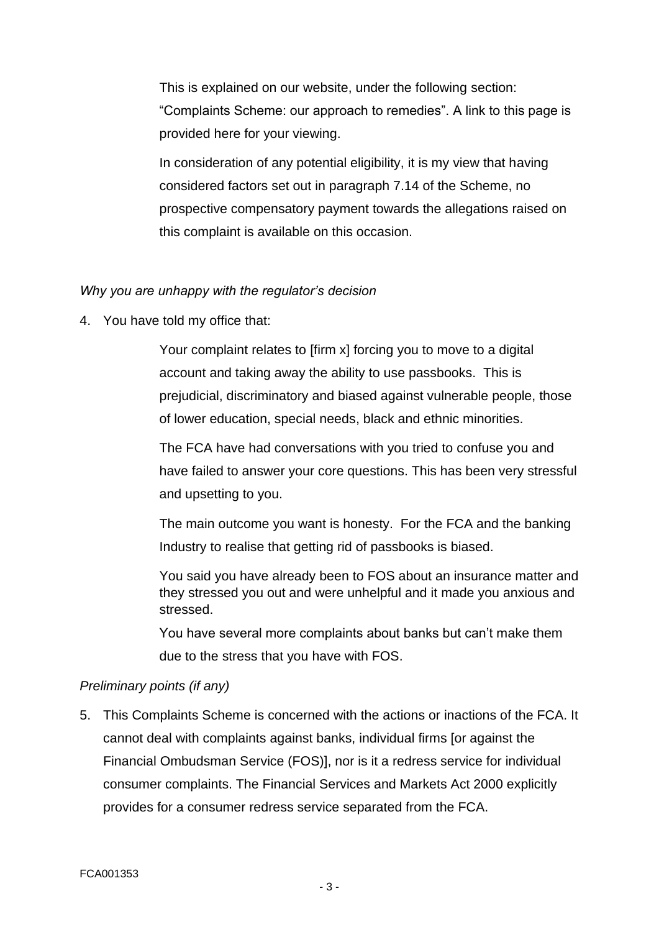This is explained on our website, under the following section: "Complaints Scheme: our approach to remedies". A link to this page is provided here for your viewing.

In consideration of any potential eligibility, it is my view that having considered factors set out in paragraph 7.14 of the Scheme, no prospective compensatory payment towards the allegations raised on this complaint is available on this occasion.

## *Why you are unhappy with the regulator's decision*

4. You have told my office that:

Your complaint relates to [firm x] forcing you to move to a digital account and taking away the ability to use passbooks. This is prejudicial, discriminatory and biased against vulnerable people, those of lower education, special needs, black and ethnic minorities.

The FCA have had conversations with you tried to confuse you and have failed to answer your core questions. This has been very stressful and upsetting to you.

The main outcome you want is honesty. For the FCA and the banking Industry to realise that getting rid of passbooks is biased.

You said you have already been to FOS about an insurance matter and they stressed you out and were unhelpful and it made you anxious and stressed.

You have several more complaints about banks but can't make them due to the stress that you have with FOS.

## *Preliminary points (if any)*

5. This Complaints Scheme is concerned with the actions or inactions of the FCA. It cannot deal with complaints against banks, individual firms [or against the Financial Ombudsman Service (FOS)], nor is it a redress service for individual consumer complaints. The Financial Services and Markets Act 2000 explicitly provides for a consumer redress service separated from the FCA.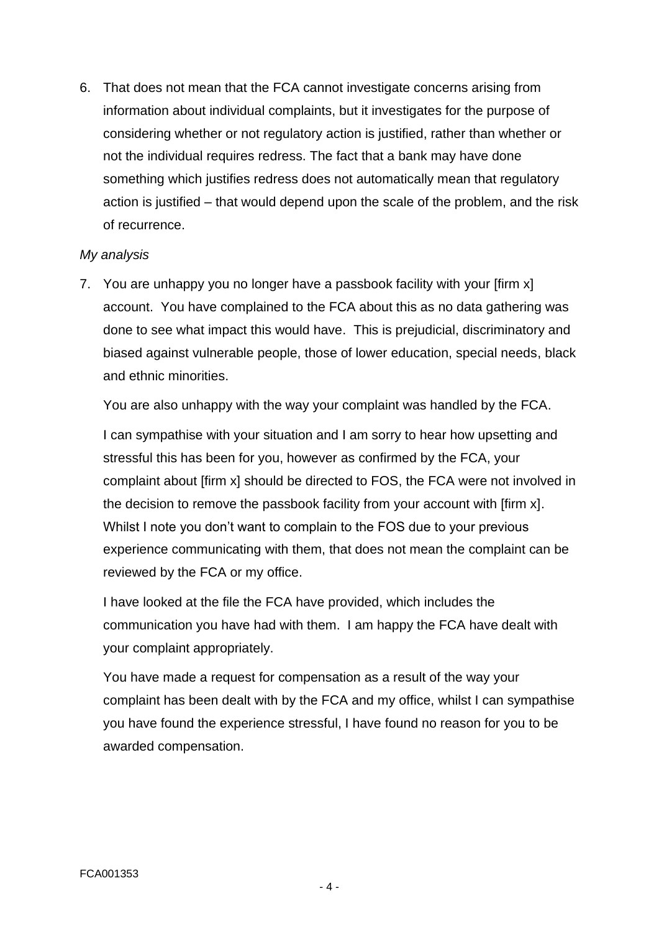6. That does not mean that the FCA cannot investigate concerns arising from information about individual complaints, but it investigates for the purpose of considering whether or not regulatory action is justified, rather than whether or not the individual requires redress. The fact that a bank may have done something which justifies redress does not automatically mean that regulatory action is justified – that would depend upon the scale of the problem, and the risk of recurrence.

## *My analysis*

7. You are unhappy you no longer have a passbook facility with your [firm x] account. You have complained to the FCA about this as no data gathering was done to see what impact this would have. This is prejudicial, discriminatory and biased against vulnerable people, those of lower education, special needs, black and ethnic minorities.

You are also unhappy with the way your complaint was handled by the FCA.

I can sympathise with your situation and I am sorry to hear how upsetting and stressful this has been for you, however as confirmed by the FCA, your complaint about [firm x] should be directed to FOS, the FCA were not involved in the decision to remove the passbook facility from your account with [firm x]. Whilst I note you don't want to complain to the FOS due to your previous experience communicating with them, that does not mean the complaint can be reviewed by the FCA or my office.

I have looked at the file the FCA have provided, which includes the communication you have had with them. I am happy the FCA have dealt with your complaint appropriately.

You have made a request for compensation as a result of the way your complaint has been dealt with by the FCA and my office, whilst I can sympathise you have found the experience stressful, I have found no reason for you to be awarded compensation.